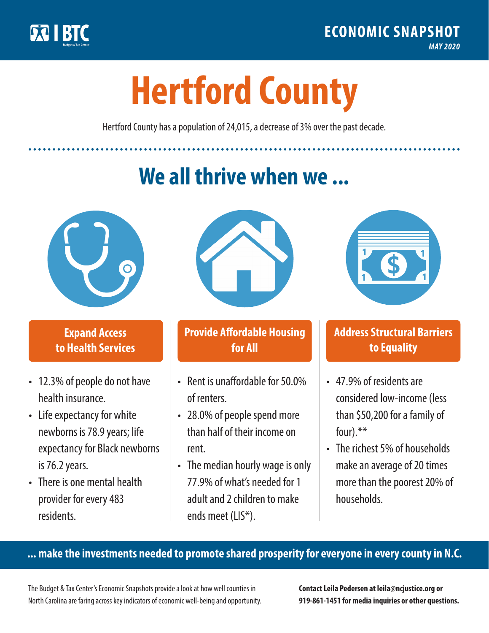

**1**

# **Hertford County**

Hertford County has a population of 24,015, a decrease of 3% over the past decade.

# **We all thrive when we ...**



**\$ <sup>1</sup>**

**\$ <sup>1</sup>**

### **Expand Access to Health Services**

- 12.3% of people do not have health insurance.
- Life expectancy for white newborns is 78.9 years; life expectancy for Black newborns is 76.2years.
- There is one mental health provider for every 483 residents.



## **Provide Affordable Housing for All**

- Rent is unaffordable for 50.0% of renters.
- 28.0% of people spend more than half of their income on rent.
- The median hourly wage is only 77.9% of what's needed for 1 adult and 2 children to make ends meet (LIS\*).



### **Address Structural Barriers to Equality**

- 47.9% of residents are considered low-income (less than \$50,200 for a family of four).\*\*
- The richest 5% of households make an average of 20 times more than the poorest 20% of households.

#### **... make the investments needed to promote shared prosperity for everyone in every county in N.C.**

The Budget & Tax Center's Economic Snapshots provide a look at how well counties in North Carolina are faring across key indicators of economic well-being and opportunity.